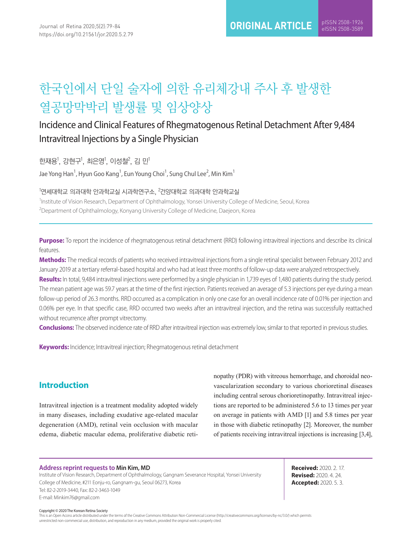# 한국인에서 단일 술자에 의한 유리체강내 주사 후 발생한 열공망막박리 발생률 및 임상양상

## Incidence and Clinical Features of Rhegmatogenous Retinal Detachment After 9,484 Intravitreal Injections by a Single Physician

한재용<sup>1</sup>, 강현구<sup>1</sup>, 최은영<sup>1</sup>, 이성철<sup>2</sup>, 김 민<sup>1</sup>

Jae Yong Han $^1$ , Hyun Goo Kang $^1$ , Eun Young Choi $^1$ , Sung Chul Lee $^2$ , Min Kim $^1$ 

 $^{\rm 1}$ 연세대학의과학 안과학교실 시과학연구소,  $^{\rm 2}$ 건양대학교 의과대학 안과학교실

<sup>1</sup>Institute of Vision Research, Department of Ophthalmology, Yonsei University College of Medicine, Seoul, Korea <sup>2</sup>Department of Ophthalmology, Konyang University College of Medicine, Daejeon, Korea

**Purpose:** To report the incidence of rhegmatogenous retinal detachment (RRD) following intravitreal injections and describe its clinical features.

**Methods:** The medical records of patients who received intravitreal injections from a single retinal specialist between February 2012 and January 2019 at a tertiary referral-based hospital and who had at least three months of follow-up data were analyzed retrospectively.

**Results:** In total, 9,484 intravitreal injections were performed by a single physician in 1,739 eyes of 1,480 patients during the study period. The mean patient age was 59.7 years at the time of the first injection. Patients received an average of 5.3 injections per eye during a mean follow-up period of 26.3 months. RRD occurred as a complication in only one case for an overall incidence rate of 0.01% per injection and 0.06% per eye. In that specific case, RRD occurred two weeks after an intravitreal injection, and the retina was successfully reattached without recurrence after prompt vitrectomy.

**Conclusions:** The observed incidence rate of RRD after intravitreal injection was extremely low, similar to that reported in previous studies.

**Keywords:** Incidence; Intravitreal injection; Rhegmatogenous retinal detachment

#### **Introduction**

Intravitreal injection is a treatment modality adopted widely in many diseases, including exudative age-related macular degeneration (AMD), retinal vein occlusion with macular edema, diabetic macular edema, proliferative diabetic reti-

nopathy (PDR) with vitreous hemorrhage, and choroidal neovascularization secondary to various chorioretinal diseases including central serous chorioretinopathy. Intravitreal injections are reported to be administered 5.6 to 13 times per year on average in patients with AMD [1] and 5.8 times per year in those with diabetic retinopathy [2]. Moreover, the number of patients receiving intravitreal injections is increasing [3,4],

#### **Address reprint requests to Min Kim, MD**

Institute of Vision Research, Department of Ophthalmology, Gangnam Severance Hospital, Yonsei University College of Medicine, #211 Eonju-ro, Gangnam-gu, Seoul 06273, Korea Tel: 82-2-2019-3440, Fax: 82-2-3463-1049 E-mail: Minkim76@gmail.com

**Received:** 2020. 2. 17. **Revised:** 2020. 4. 24. **Accepted:** 2020. 5. 3.

Copyright © 2020 The Korean Retina Society

This is an Open Access article distributed under the terms of the Creative Commons Attribution Non-Commercial License ([http://creativecommons.org/licenses](file:///Users/imac5/Desktop/%e1%84%8c%e1%85%b5%e1%86%ab%e1%84%92%e1%85%a2%e1%86%bc%e1%84%8c%e1%85%ae%e1%86%bc/%e1%84%83%e1%85%a2%e1%84%92%e1%85%a1%e1%86%ab%e1%84%8b%e1%85%a1%e1%86%ab%e1%84%80%e1%85%aa%e1%84%80%e1%85%ae%e1%86%a8%e1%84%86%e1%85%ae%e1%86%ab%e1%84%92%e1%85%a1%e1%86%a8%e1%84%92%e1%85%ac%e1%84%8c%e1%85%b5%20%e1%84%89%e1%85%b5%e1%84%8b%e1%85%a1%e1%86%ab/http)/by-nc/3.0/) which permits unrestricted non-commercial use, distribution, and reproduction in any medium, provided the original work is properly cited.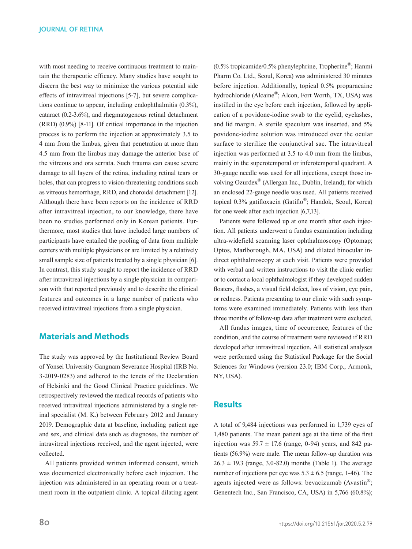with most needing to receive continuous treatment to maintain the therapeutic efficacy. Many studies have sought to discern the best way to minimize the various potential side effects of intravitreal injections [5-7], but severe complications continue to appear, including endophthalmitis (0.3%), cataract (0.2-3.6%), and rhegmatogenous retinal detachment (RRD) (0.9%) [8-11]. Of critical importance in the injection process is to perform the injection at approximately 3.5 to 4 mm from the limbus, given that penetration at more than 4.5 mm from the limbus may damage the anterior base of the vitreous and ora serrata. Such trauma can cause severe damage to all layers of the retina, including retinal tears or holes, that can progress to vision-threatening conditions such as vitreous hemorrhage, RRD, and choroidal detachment [12]. Although there have been reports on the incidence of RRD after intravitreal injection, to our knowledge, there have been no studies performed only in Korean patients. Furthermore, most studies that have included large numbers of participants have entailed the pooling of data from multiple centers with multiple physicians or are limited by a relatively small sample size of patients treated by a single physician [6]. In contrast, this study sought to report the incidence of RRD after intravitreal injections by a single physician in comparison with that reported previously and to describe the clinical features and outcomes in a large number of patients who received intravitreal injections from a single physician.

### **Materials and Methods**

The study was approved by the Institutional Review Board of Yonsei University Gangnam Severance Hospital (IRB No. 3-2019-0283) and adhered to the tenets of the Declaration of Helsinki and the Good Clinical Practice guidelines. We retrospectively reviewed the medical records of patients who received intravitreal injections administered by a single retinal specialist (M. K.) between February 2012 and January 2019. Demographic data at baseline, including patient age and sex, and clinical data such as diagnoses, the number of intravitreal injections received, and the agent injected, were collected.

All patients provided written informed consent, which was documented electronically before each injection. The injection was administered in an operating room or a treatment room in the outpatient clinic. A topical dilating agent (0.5% tropicamide/0.5% phenylephrine, Tropherine®; Hanmi Pharm Co. Ltd., Seoul, Korea) was administered 30 minutes before injection. Additionally, topical 0.5% proparacaine hydrochloride (Alcaine®; Alcon, Fort Worth, TX, USA) was instilled in the eye before each injection, followed by application of a povidone-iodine swab to the eyelid, eyelashes, and lid margin. A sterile speculum was inserted, and 5% povidone-iodine solution was introduced over the ocular surface to sterilize the conjunctival sac. The intravitreal injection was performed at 3.5 to 4.0 mm from the limbus, mainly in the superotemporal or inferotemporal quadrant. A 30-gauge needle was used for all injections, except those involving Ozurdex® (Allergan Inc., Dublin, Ireland), for which an enclosed 22-gauge needle was used. All patients received topical 0.3% gatifloxacin (Gatiflo®; Handok, Seoul, Korea) for one week after each injection [6,7,13].

Patients were followed up at one month after each injection. All patients underwent a fundus examination including ultra-widefield scanning laser ophthalmoscopy (Optomap; Optos, Marlborough, MA, USA) and dilated binocular indirect ophthalmoscopy at each visit. Patients were provided with verbal and written instructions to visit the clinic earlier or to contact a local ophthalmologist if they developed sudden floaters, flashes, a visual field defect, loss of vision, eye pain, or redness. Patients presenting to our clinic with such symptoms were examined immediately. Patients with less than three months of follow-up data after treatment were excluded.

All fundus images, time of occurrence, features of the condition, and the course of treatment were reviewed if RRD developed after intravitreal injection. All statistical analyses were performed using the Statistical Package for the Social Sciences for Windows (version 23.0; IBM Corp., Armonk, NY, USA).

#### **Results**

A total of 9,484 injections was performed in 1,739 eyes of 1,480 patients. The mean patient age at the time of the first injection was  $59.7 \pm 17.6$  (range, 0-94) years, and 842 patients (56.9%) were male. The mean follow-up duration was  $26.3 \pm 19.3$  (range, 3.0-82.0) months (Table 1). The average number of injections per eye was  $5.3 \pm 6.5$  (range, 1-46). The agents injected were as follows: bevacizumab (Avastin®; Genentech Inc., San Francisco, CA, USA) in 5,766 (60.8%);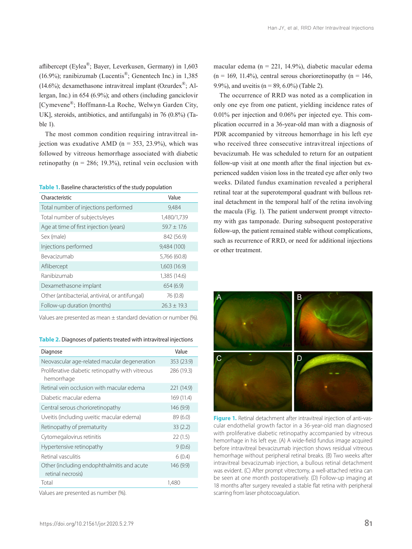aflibercept (Eylea®; Bayer, Leverkusen, Germany) in 1,603 (16.9%); ranibizumab (Lucentis®; Genentech Inc.) in 1,385 (14.6%); dexamethasone intravitreal implant (Ozurdex $^{\circledR}$ ; Allergan, Inc.) in 654 (6.9%); and others (including ganciclovir [Cymevene®; Hoffmann-La Roche, Welwyn Garden City, UK], steroids, antibiotics, and antifungals) in 76 (0.8%) (Table 1).

The most common condition requiring intravitreal injection was exudative AMD ( $n = 353$ , 23.9%), which was followed by vitreous hemorrhage associated with diabetic retinopathy ( $n = 286$ ; 19.3%), retinal vein occlusion with

**Table 1.** Baseline characteristics of the study population

| Characteristic                                  | Value         |
|-------------------------------------------------|---------------|
| Total number of injections performed            | 9,484         |
| Total number of subjects/eyes                   | 1,480/1,739   |
| Age at time of first injection (years)          | $59.7 + 17.6$ |
| Sex (male)                                      | 842 (56.9)    |
| Injections performed                            | 9,484 (100)   |
| <b>Bevacizumab</b>                              | 5,766 (60.8)  |
| Aflibercept                                     | 1,603 (16.9)  |
| Ranibizumab                                     | 1,385 (14.6)  |
| Dexamethasone implant                           | 654(6.9)      |
| Other (antibacterial, antiviral, or antifungal) | 76 (0.8)      |
| Follow-up duration (months)                     | $26.3 + 19.3$ |

Values are presented as mean ± standard deviation or number (%).

**Table 2.** Diagnoses of patients treated with intravitreal injections

| Diagnose                                                        | Value      |
|-----------------------------------------------------------------|------------|
| Neovascular age-related macular degeneration                    | 353 (23.9) |
| Proliferative diabetic retinopathy with vitreous<br>hemorrhage  | 286 (19.3) |
| Retinal vein occlusion with macular edema                       | 221 (14.9) |
| Diabetic macular edema                                          | 169 (11.4) |
| Central serous chorioretinopathy                                | 146 (9.9)  |
| Uveitis (including uveitic macular edema)                       | 89(6.0)    |
| Retinopathy of prematurity                                      | 33(2.2)    |
| Cytomegalovirus retinitis                                       | 22(1.5)    |
| Hypertensive retinopathy                                        | 9(0.6)     |
| Retinal vasculitis                                              | 6(0.4)     |
| Other (including endophthalmitis and acute<br>retinal necrosis) | 146 (9.9)  |
| Total                                                           | 1,480      |

Values are presented as number (%).

macular edema (n = 221, 14.9%), diabetic macular edema  $(n = 169, 11.4\%)$ , central serous chorioretinopathy  $(n = 146,$ 9.9%), and uveitis ( $n = 89, 6.0\%$ ) (Table 2).

The occurrence of RRD was noted as a complication in only one eye from one patient, yielding incidence rates of 0.01% per injection and 0.06% per injected eye. This complication occurred in a 36-year-old man with a diagnosis of PDR accompanied by vitreous hemorrhage in his left eye who received three consecutive intravitreal injections of bevacizumab. He was scheduled to return for an outpatient follow-up visit at one month after the final injection but experienced sudden vision loss in the treated eye after only two weeks. Dilated fundus examination revealed a peripheral retinal tear at the superotemporal quadrant with bullous retinal detachment in the temporal half of the retina involving the macula (Fig. 1). The patient underwent prompt vitrectomy with gas tamponade. During subsequent postoperative follow-up, the patient remained stable without complications, such as recurrence of RRD, or need for additional injections or other treatment.



**Figure 1.** Retinal detachment after intravitreal injection of anti-vascular endothelial growth factor in a 36-year-old man diagnosed with proliferative diabetic retinopathy accompanied by vitreous hemorrhage in his left eye. (A) A wide-field fundus image acquired before intravitreal bevacizumab injection shows residual vitreous hemorrhage without peripheral retinal breaks. (B) Two weeks after intravitreal bevacizumab injection, a bullous retinal detachment was evident. (C) After prompt vitrectomy, a well-attached retina can be seen at one month postoperatively. (D) Follow-up imaging at 18 months after surgery revealed a stable flat retina with peripheral scarring from laser photocoagulation.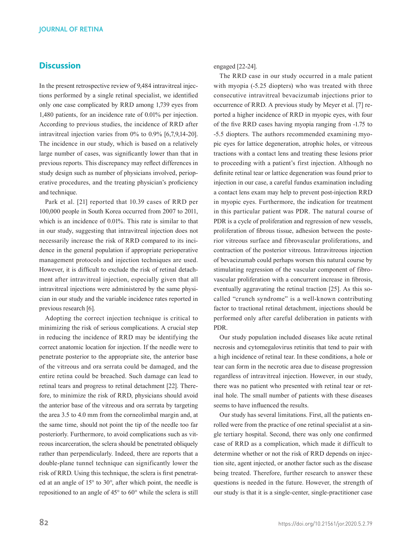#### **Discussion**

In the present retrospective review of 9,484 intravitreal injections performed by a single retinal specialist, we identified only one case complicated by RRD among 1,739 eyes from 1,480 patients, for an incidence rate of 0.01% per injection. According to previous studies, the incidence of RRD after intravitreal injection varies from 0% to 0.9% [6,7,9,14-20]. The incidence in our study, which is based on a relatively large number of cases, was significantly lower than that in previous reports. This discrepancy may reflect differences in study design such as number of physicians involved, perioperative procedures, and the treating physician's proficiency and technique.

Park et al. [21] reported that 10.39 cases of RRD per 100,000 people in South Korea occurred from 2007 to 2011, which is an incidence of 0.01%. This rate is similar to that in our study, suggesting that intravitreal injection does not necessarily increase the risk of RRD compared to its incidence in the general population if appropriate perioperative management protocols and injection techniques are used. However, it is difficult to exclude the risk of retinal detachment after intravitreal injection, especially given that all intravitreal injections were administered by the same physician in our study and the variable incidence rates reported in previous research [6].

Adopting the correct injection technique is critical to minimizing the risk of serious complications. A crucial step in reducing the incidence of RRD may be identifying the correct anatomic location for injection. If the needle were to penetrate posterior to the appropriate site, the anterior base of the vitreous and ora serrata could be damaged, and the entire retina could be breached. Such damage can lead to retinal tears and progress to retinal detachment [22]. Therefore, to minimize the risk of RRD, physicians should avoid the anterior base of the vitreous and ora serrata by targeting the area 3.5 to 4.0 mm from the corneolimbal margin and, at the same time, should not point the tip of the needle too far posteriorly. Furthermore, to avoid complications such as vitreous incarceration, the sclera should be penetrated obliquely rather than perpendicularly. Indeed, there are reports that a double-plane tunnel technique can significantly lower the risk of RRD. Using this technique, the sclera is first penetrated at an angle of 15° to 30°, after which point, the needle is repositioned to an angle of 45° to 60° while the sclera is still

engaged [22-24].

The RRD case in our study occurred in a male patient with myopia (-5.25 diopters) who was treated with three consecutive intravitreal bevacizumab injections prior to occurrence of RRD. A previous study by Meyer et al. [7] reported a higher incidence of RRD in myopic eyes, with four of the five RRD cases having myopia ranging from -1.75 to -5.5 diopters. The authors recommended examining myopic eyes for lattice degeneration, atrophic holes, or vitreous tractions with a contact lens and treating these lesions prior to proceeding with a patient's first injection. Although no definite retinal tear or lattice degeneration was found prior to injection in our case, a careful fundus examination including a contact lens exam may help to prevent post-injection RRD in myopic eyes. Furthermore, the indication for treatment in this particular patient was PDR. The natural course of PDR is a cycle of proliferation and regression of new vessels, proliferation of fibrous tissue, adhesion between the posterior vitreous surface and fibrovascular proliferations, and contraction of the posterior vitreous. Intravitreous injection of bevacizumab could perhaps worsen this natural course by stimulating regression of the vascular component of fibrovascular proliferation with a concurrent increase in fibrosis, eventually aggravating the retinal traction [25]. As this socalled "crunch syndrome" is a well-known contributing factor to tractional retinal detachment, injections should be performed only after careful deliberation in patients with PDR.

Our study population included diseases like acute retinal necrosis and cytomegalovirus retinitis that tend to pair with a high incidence of retinal tear. In these conditions, a hole or tear can form in the necrotic area due to disease progression regardless of intravitreal injection. However, in our study, there was no patient who presented with retinal tear or retinal hole. The small number of patients with these diseases seems to have influenced the results.

Our study has several limitations. First, all the patients enrolled were from the practice of one retinal specialist at a single tertiary hospital. Second, there was only one confirmed case of RRD as a complication, which made it difficult to determine whether or not the risk of RRD depends on injection site, agent injected, or another factor such as the disease being treated. Therefore, further research to answer these questions is needed in the future. However, the strength of our study is that it is a single-center, single-practitioner case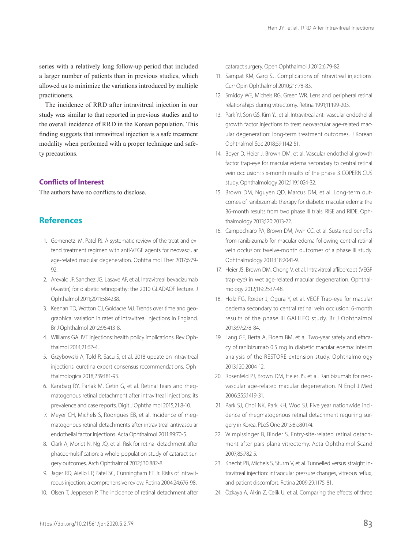series with a relatively long follow-up period that included a larger number of patients than in previous studies, which allowed us to minimize the variations introduced by multiple practitioners.

The incidence of RRD after intravitreal injection in our study was similar to that reported in previous studies and to the overall incidence of RRD in the Korean population. This finding suggests that intravitreal injection is a safe treatment modality when performed with a proper technique and safety precautions.

#### **Conflicts of Interest**

The authors have no conflicts to disclose.

#### **References**

- 1. Gemenetzi M, Patel PJ. A systematic review of the treat and extend treatment regimen with anti-VEGF agents for neovascular age-related macular degeneration. Ophthalmol Ther 2017;6:79- 92.
- 2. Arevalo JF, Sanchez JG, Lasave AF, et al. Intravitreal bevacizumab (Avastin) for diabetic retinopathy: the 2010 GLADAOF lecture. J Ophthalmol 2011;2011:584238.
- 3. Keenan TD, Wotton CJ, Goldacre MJ. Trends over time and geographical variation in rates of intravitreal injections in England. Br J Ophthalmol 2012;96:413-8.
- 4. Williams GA. IVT injections: health policy implications. Rev Ophthalmol 2014;21:62-4.
- 5. Grzybowski A, Told R, Sacu S, et al. 2018 update on intravitreal injections: euretina expert consensus recommendations. Ophthalmologica 2018;239:181-93.
- 6. Karabag RY, Parlak M, Cetin G, et al. Retinal tears and rhegmatogenous retinal detachment after intravitreal injections: its prevalence and case reports. Digit J Ophthalmol 2015;21:8-10.
- 7. Meyer CH, Michels S, Rodrigues EB, et al. Incidence of rhegmatogenous retinal detachments after intravitreal antivascular endothelial factor injections. Acta Ophthalmol 2011;89:70-5.
- 8. Clark A, Morlet N, Ng JQ, et al. Risk for retinal detachment after phacoemulsification: a whole-population study of cataract surgery outcomes. Arch Ophthalmol 2012;130:882-8.
- 9. Jager RD, Aiello LP, Patel SC, Cunningham ET Jr. Risks of intravitreous injection: a comprehensive review. Retina 2004;24:676-98.
- 10. Olsen T, Jeppesen P. The incidence of retinal detachment after

cataract surgery. Open Ophthalmol J 2012;6:79-82.

- 11. Sampat KM, Garg SJ. Complications of intravitreal injections. Curr Opin Ophthalmol 2010;21:178-83.
- 12. Smiddy WE, Michels RG, Green WR. Lens and peripheral retinal relationships during vitrectomy. Retina 1991;11:199-203.
- 13. Park YJ, Son GS, Kim YJ, et al. Intravitreal anti-vascular endothelial growth factor injections to treat neovascular age-related macular degeneration: long-term treatment outcomes. J Korean Ophthalmol Soc 2018;59:1142-51.
- 14. Boyer D, Heier J, Brown DM, et al. Vascular endothelial growth factor trap-eye for macular edema secondary to central retinal vein occlusion: six-month results of the phase 3 COPERNICUS study. Ophthalmology 2012;119:1024-32.
- 15. Brown DM, Nguyen QD, Marcus DM, et al. Long-term outcomes of ranibizumab therapy for diabetic macular edema: the 36-month results from two phase III trials: RISE and RIDE. Ophthalmology 2013;120:2013-22.
- 16. Campochiaro PA, Brown DM, Awh CC, et al. Sustained benefits from ranibizumab for macular edema following central retinal vein occlusion: twelve-month outcomes of a phase III study. Ophthalmology 2011;118:2041-9.
- 17. Heier JS, Brown DM, Chong V, et al. Intravitreal aflibercept (VEGF trap-eye) in wet age-related macular degeneration. Ophthalmology 2012;119:2537-48.
- 18. Holz FG, Roider J, Ogura Y, et al. VEGF Trap-eye for macular oedema secondary to central retinal vein occlusion: 6-month results of the phase III GALILEO study. Br J Ophthalmol 2013;97:278-84.
- 19. Lang GE, Berta A, Eldem BM, et al. Two-year safety and efficacy of ranibizumab 0.5 mg in diabetic macular edema: interim analysis of the RESTORE extension study. Ophthalmology 2013;120:2004-12.
- 20. Rosenfeld PJ, Brown DM, Heier JS, et al. Ranibizumab for neovascular age-related macular degeneration. N Engl J Med 2006;355:1419-31.
- 21. Park SJ, Choi NK, Park KH, Woo SJ. Five year nationwide incidence of rhegmatogenous retinal detachment requiring surgery in Korea. PLoS One 2013;8:e80174.
- 22. Wimpissinger B, Binder S. Entry‐site‐related retinal detachment after pars plana vitrectomy. Acta Ophthalmol Scand 2007;85:782-5.
- 23. Knecht PB, Michels S, Sturm V, et al. Tunnelled versus straight intravitreal injection: intraocular pressure changes, vitreous reflux, and patient discomfort. Retina 2009;29:1175-81.
- 24. Özkaya A, Alkin Z, Celik U, et al. Comparing the effects of three